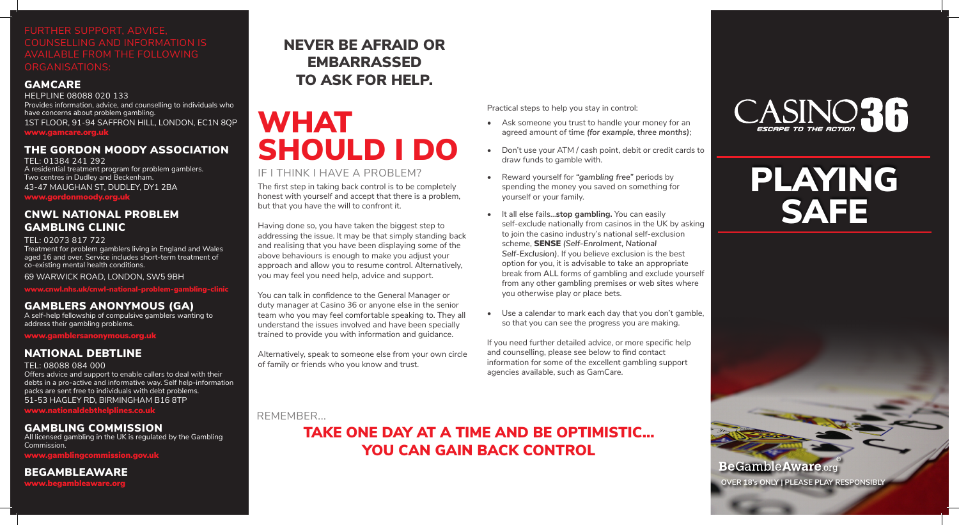**BeGambleAware.org OVER 18's ONLY | PLEASE PLAY RESPONSIBLY**

## WHAT SHOULD I DO

### IF I THINK I HAVE A PROBLEM?

The first step in taking back control is to be completely honest with yourself and accept that there is a problem, but that you have the will to confront it.

Having done so, you have taken the biggest step to addressing the issue. It may be that simply standing back and realising that you have been displaying some of the above behaviours is enough to make you adjust your approach and allow you to resume control. Alternatively, you may feel you need help, advice and support.

You can talk in confidence to the General Manager or duty manager at Casino 36 or anyone else in the senior team who you may feel comfortable speaking to. They all understand the issues involved and have been specially trained to provide you with information and guidance.

Alternatively, speak to someone else from your own circle of family or friends who you know and trust.

REMEMBER...

### TAKE ONE DAY AT A TIME AND BE OPTIMISTIC... YOU CAN GAIN BACK CONTROL

# CASINO36

## PLAYING **SAFE**

Practical steps to help you stay in control:

- Ask someone you trust to handle your money for an agreed amount of time *(for example, three months)*;
- Don't use your ATM / cash point, debit or credit cards to draw funds to gamble with.
- Reward yourself for *"gambling free"* periods by spending the money you saved on something for yourself or your family.
- It all else fails...**stop gambling.** You can easily self-exclude nationally from casinos in the UK by asking to join the casino industry's national self-exclusion scheme, SENSE *(Self-Enrolment, National Self-Exclusion)*. If you believe exclusion is the best option for you, it is advisable to take an appropriate break from **ALL** forms of gambling and exclude yourself from any other gambling premises or web sites where you otherwise play or place bets.
- Use a calendar to mark each day that you don't gamble, so that you can see the progress you are making.

TEL: 08088 084 000 Offers advice and support to enable callers to deal with their debts in a pro-active and informative way. Self help-information packs are sent free to individuals with debt problems. 51-53 HAGLEY RD, BIRMINGHAM B16 8TP ionaldebthelplines.co.uk

If you need further detailed advice, or more specific help and counselling, please see below to find contact information for some of the excellent gambling support agencies available, such as GamCare.

### NEVER BE AFRAID OR EMBARRASSED TO ASK FOR HELP.

### COUNSELLING AND INFORMATION IS AVAILABLE FROM THE FOLLOWING ORGANISATIONS:

### GAMCARE

HELPLINE 08088 020 133 Provides information, advice, and counselling to individuals who have concerns about problem gambling. 1ST FLOOR, 91-94 SAFFRON HILL, LONDON, EC1N 8QP www.gamcare.org.uk

### THE GORDON MOODY ASSOCIATION

TEL: 01384 241 292 A residential treatment program for problem gamblers. Two centres in Dudley and Beckenham. 43-47 MAUGHAN ST, DUDLEY, DY1 2BA

www.gordonmoody.org.uk

### CNWL NATIONAL PROBLEM GAMBLING CLINIC

TEL: 02073 817 722 Treatment for problem gamblers living in England and Wales aged 16 and over. Service includes short-term treatment of co-existing mental health conditions.

69 WARWICK ROAD, LONDON, SW5 9BH

www.cnwl.nhs.uk/cnwl-national-problem-gambling-clinic

### GAMBLERS ANONYMOUS (GA)

A self-help fellowship of compulsive gamblers wanting to address their gambling problems.

www.gamblersanonymous.org.uk

### NATIONAL DEBTLINE

### GAMBLING COMMISSION

All licensed gambling in the UK is regulated by the Gambling Commission. www.gamblingcommission.gov.uk

BEGAMBLEAWARE

www.begambleaware.org